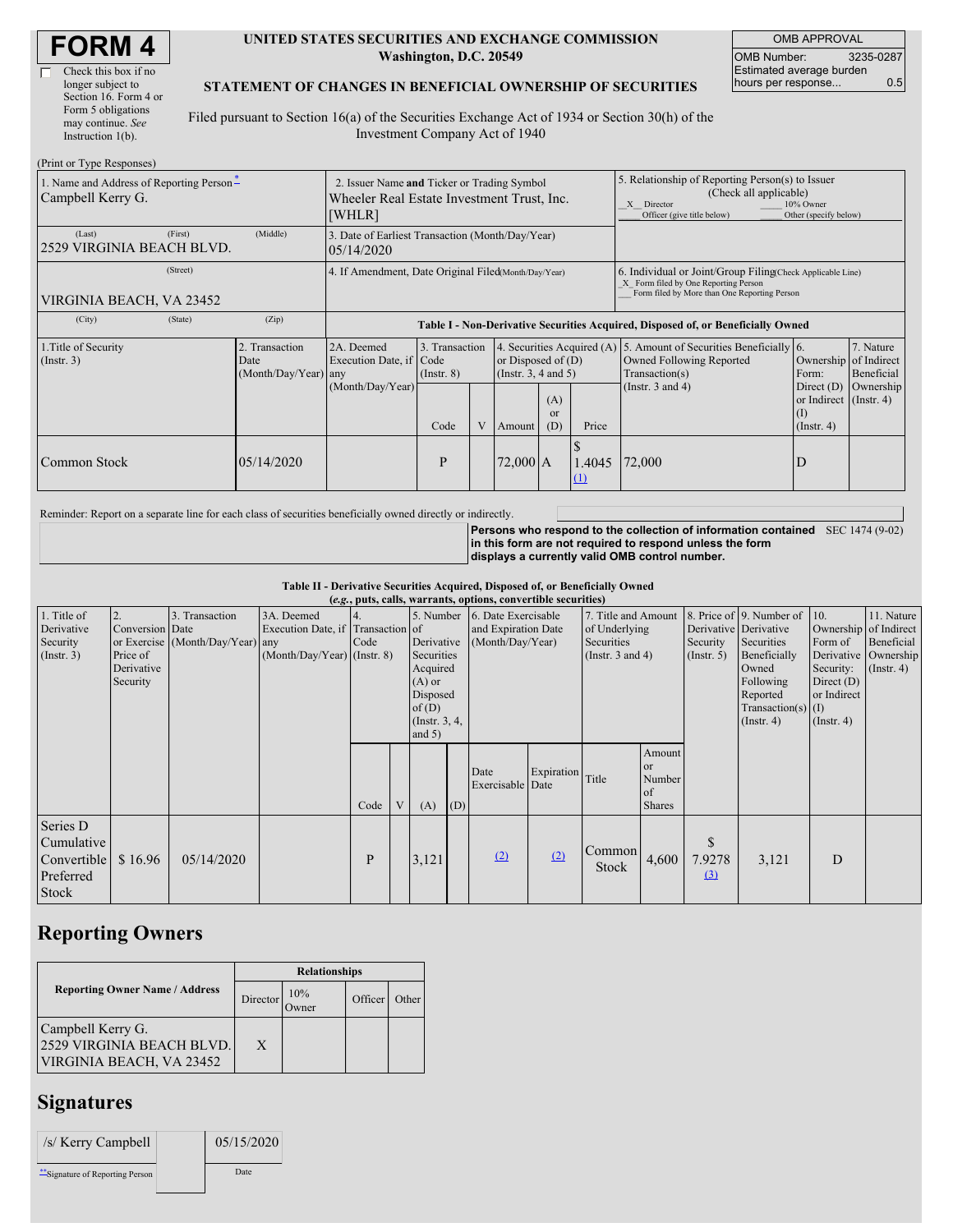| <b>FORM4</b> |
|--------------|
|--------------|

| Check this box if no  |
|-----------------------|
| longer subject to     |
| Section 16. Form 4 or |
| Form 5 obligations    |
| may continue. See     |
| Instruction $1(b)$ .  |
|                       |

#### **UNITED STATES SECURITIES AND EXCHANGE COMMISSION Washington, D.C. 20549**

OMB APPROVAL OMB Number: 3235-0287 Estimated average burden hours per response... 0.5

#### **STATEMENT OF CHANGES IN BENEFICIAL OWNERSHIP OF SECURITIES**

Filed pursuant to Section 16(a) of the Securities Exchange Act of 1934 or Section 30(h) of the Investment Company Act of 1940

| (Print or Type Responses)                                     |                                                |                                                                                                                                                                                                            |                                           |   |                                                        |                             |                                                                                                                                                              |                                                                                                                                           |                                                                                                     |                                      |
|---------------------------------------------------------------|------------------------------------------------|------------------------------------------------------------------------------------------------------------------------------------------------------------------------------------------------------------|-------------------------------------------|---|--------------------------------------------------------|-----------------------------|--------------------------------------------------------------------------------------------------------------------------------------------------------------|-------------------------------------------------------------------------------------------------------------------------------------------|-----------------------------------------------------------------------------------------------------|--------------------------------------|
| 1. Name and Address of Reporting Person-<br>Campbell Kerry G. |                                                | 2. Issuer Name and Ticker or Trading Symbol<br>Wheeler Real Estate Investment Trust, Inc.<br>[WHLR]                                                                                                        |                                           |   |                                                        |                             | 5. Relationship of Reporting Person(s) to Issuer<br>(Check all applicable)<br>X Director<br>10% Owner<br>Other (specify below)<br>Officer (give title below) |                                                                                                                                           |                                                                                                     |                                      |
| (First)<br>(Last)<br>2529 VIRGINIA BEACH BLVD.                | (Middle)                                       | 3. Date of Earliest Transaction (Month/Day/Year)<br>05/14/2020                                                                                                                                             |                                           |   |                                                        |                             |                                                                                                                                                              |                                                                                                                                           |                                                                                                     |                                      |
| (Street)<br>VIRGINIA BEACH, VA 23452                          |                                                | 4. If Amendment, Date Original Filed(Month/Day/Year)<br>6. Individual or Joint/Group Filing Check Applicable Line)<br>X Form filed by One Reporting Person<br>Form filed by More than One Reporting Person |                                           |   |                                                        |                             |                                                                                                                                                              |                                                                                                                                           |                                                                                                     |                                      |
| (City)<br>(State)                                             | (Zip)                                          | Table I - Non-Derivative Securities Acquired, Disposed of, or Beneficially Owned                                                                                                                           |                                           |   |                                                        |                             |                                                                                                                                                              |                                                                                                                                           |                                                                                                     |                                      |
| 1. Title of Security<br>$($ Instr. 3 $)$                      | 2. Transaction<br>Date<br>(Month/Day/Year) any | 2A. Deemed<br>Execution Date, if Code<br>(Month/Day/Year)                                                                                                                                                  | 3. Transaction<br>$($ Instr. $8)$<br>Code | V | or Disposed of $(D)$<br>(Insert. 3, 4 and 5)<br>Amount | (A)<br><sub>or</sub><br>(D) | Price                                                                                                                                                        | 4. Securities Acquired (A) 5. Amount of Securities Beneficially 6.<br>Owned Following Reported<br>Transaction(s)<br>(Instr. $3$ and $4$ ) | Ownership of Indirect<br>Form:<br>Direct $(D)$<br>or Indirect (Instr. 4)<br>(1)<br>$($ Instr. 4 $)$ | 7. Nature<br>Beneficial<br>Ownership |
| Common Stock                                                  | 05/14/2020                                     |                                                                                                                                                                                                            | P                                         |   | $72,000$ A                                             |                             | 1.4045<br>(1)                                                                                                                                                | 72,000                                                                                                                                    | D                                                                                                   |                                      |

Reminder: Report on a separate line for each class of securities beneficially owned directly or indirectly.

**Persons who respond to the collection of information contained** SEC 1474 (9-02) **in this form are not required to respond unless the form displays a currently valid OMB control number.**

**Table II - Derivative Securities Acquired, Disposed of, or Beneficially Owned**

|                                                                    | (e.g., puts, calls, warrants, options, convertible securities) |                                                    |                                                                                  |      |  |                                                                                                                      |     |                                                                |            |                                                                             |                                                                     |                              |                                                                                                                                                               |                                                                                                                                 |                                              |
|--------------------------------------------------------------------|----------------------------------------------------------------|----------------------------------------------------|----------------------------------------------------------------------------------|------|--|----------------------------------------------------------------------------------------------------------------------|-----|----------------------------------------------------------------|------------|-----------------------------------------------------------------------------|---------------------------------------------------------------------|------------------------------|---------------------------------------------------------------------------------------------------------------------------------------------------------------|---------------------------------------------------------------------------------------------------------------------------------|----------------------------------------------|
| 1. Title of<br>Derivative<br>Security<br>(Insert. 3)               | 2.<br>Conversion Date<br>Price of<br>Derivative<br>Security    | 3. Transaction<br>or Exercise (Month/Day/Year) any | 3A. Deemed<br>Execution Date, if Transaction of<br>$(Month/Day/Year)$ (Instr. 8) | Code |  | 5. Number<br>Derivative<br>Securities<br>Acquired<br>$(A)$ or<br>Disposed<br>of(D)<br>$($ Instr. $3, 4,$<br>and $5)$ |     | 6. Date Exercisable<br>and Expiration Date<br>(Month/Day/Year) |            | 7. Title and Amount<br>of Underlying<br>Securities<br>(Instr. $3$ and $4$ ) |                                                                     | Security<br>$($ Instr. 5 $)$ | 8. Price of 9. Number of<br>Derivative Derivative<br>Securities<br>Beneficially<br>Owned<br>Following<br>Reported<br>Transaction(s) $(I)$<br>$($ Instr. 4 $)$ | 10.<br>Ownership of Indirect<br>Form of<br>Derivative Ownership<br>Security:<br>Direct $(D)$<br>or Indirect<br>$($ Instr. 4 $)$ | 11. Nature<br>Beneficial<br>$($ Instr. 4 $)$ |
|                                                                    |                                                                |                                                    |                                                                                  | Code |  | (A)                                                                                                                  | (D) | Date<br>Exercisable Date                                       | Expiration | Title                                                                       | Amount<br><sub>or</sub><br>Number<br><sub>of</sub><br><b>Shares</b> |                              |                                                                                                                                                               |                                                                                                                                 |                                              |
| Series D<br>Cumulative<br>Convertible<br>Preferred<br><b>Stock</b> | \$16.96                                                        | 05/14/2020                                         |                                                                                  | P    |  | 3,121                                                                                                                |     | (2)                                                            | (2)        | Common<br>Stock                                                             | 4,600                                                               | \$<br>7.9278<br>$\Omega$     | 3,121                                                                                                                                                         | D                                                                                                                               |                                              |

# **Reporting Owners**

|                                                                             | <b>Relationships</b>  |              |         |       |  |  |  |
|-----------------------------------------------------------------------------|-----------------------|--------------|---------|-------|--|--|--|
| <b>Reporting Owner Name / Address</b>                                       | Director <sup>'</sup> | 10%<br>Jwner | Officer | Other |  |  |  |
| Campbell Kerry G.<br>12529 VIRGINIA BEACH BLVD.<br>VIRGINIA BEACH, VA 23452 | X                     |              |         |       |  |  |  |

# **Signatures**

| /s/ Kerry Campbell               | 05/15/2020 |
|----------------------------------|------------|
| ** Signature of Reporting Person | Date       |